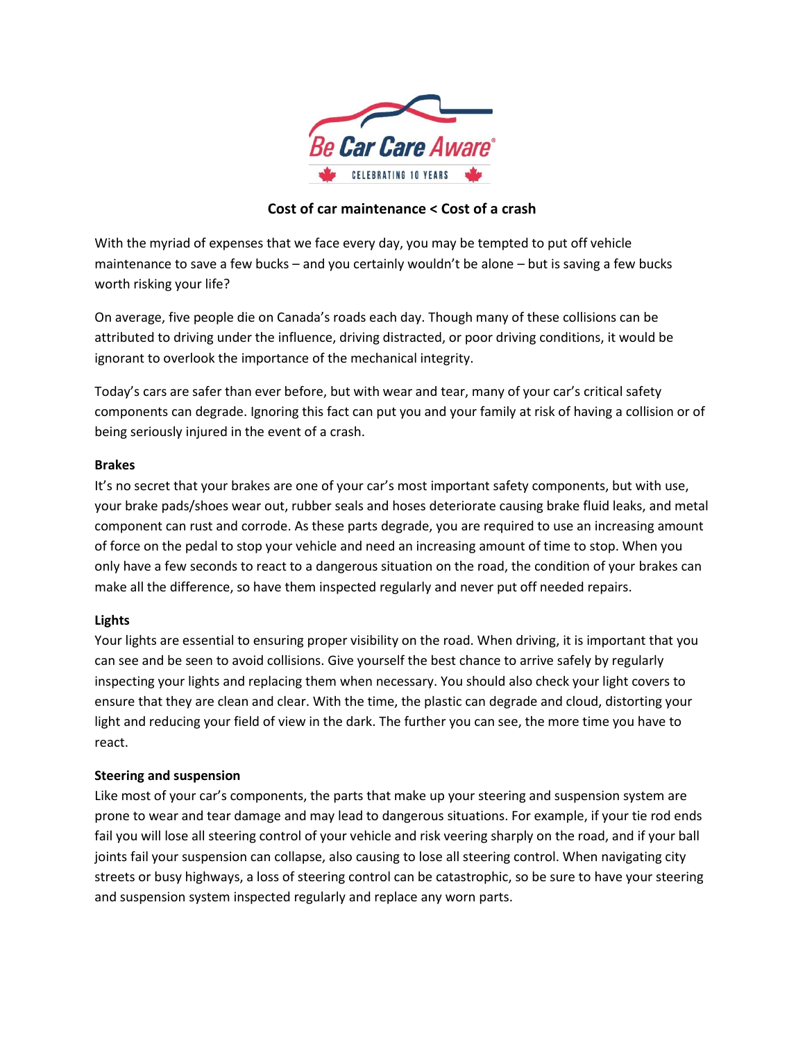

# **Cost of car maintenance < Cost of a crash**

With the myriad of expenses that we face every day, you may be tempted to put off vehicle maintenance to save a few bucks – and you certainly wouldn't be alone – but is saving a few bucks worth risking your life?

On average, five people die on Canada's roads each day. Though many of these collisions can be attributed to driving under the influence, driving distracted, or poor driving conditions, it would be ignorant to overlook the importance of the mechanical integrity.

Today's cars are safer than ever before, but with wear and tear, many of your car's critical safety components can degrade. Ignoring this fact can put you and your family at risk of having a collision or of being seriously injured in the event of a crash.

### **Brakes**

It's no secret that your brakes are one of your car's most important safety components, but with use, your brake pads/shoes wear out, rubber seals and hoses deteriorate causing brake fluid leaks, and metal component can rust and corrode. As these parts degrade, you are required to use an increasing amount of force on the pedal to stop your vehicle and need an increasing amount of time to stop. When you only have a few seconds to react to a dangerous situation on the road, the condition of your brakes can make all the difference, so have them inspected regularly and never put off needed repairs.

## **Lights**

Your lights are essential to ensuring proper visibility on the road. When driving, it is important that you can see and be seen to avoid collisions. Give yourself the best chance to arrive safely by regularly inspecting your lights and replacing them when necessary. You should also check your light covers to ensure that they are clean and clear. With the time, the plastic can degrade and cloud, distorting your light and reducing your field of view in the dark. The further you can see, the more time you have to react.

### **Steering and suspension**

Like most of your car's components, the parts that make up your steering and suspension system are prone to wear and tear damage and may lead to dangerous situations. For example, if your tie rod ends fail you will lose all steering control of your vehicle and risk veering sharply on the road, and if your ball joints fail your suspension can collapse, also causing to lose all steering control. When navigating city streets or busy highways, a loss of steering control can be catastrophic, so be sure to have your steering and suspension system inspected regularly and replace any worn parts.